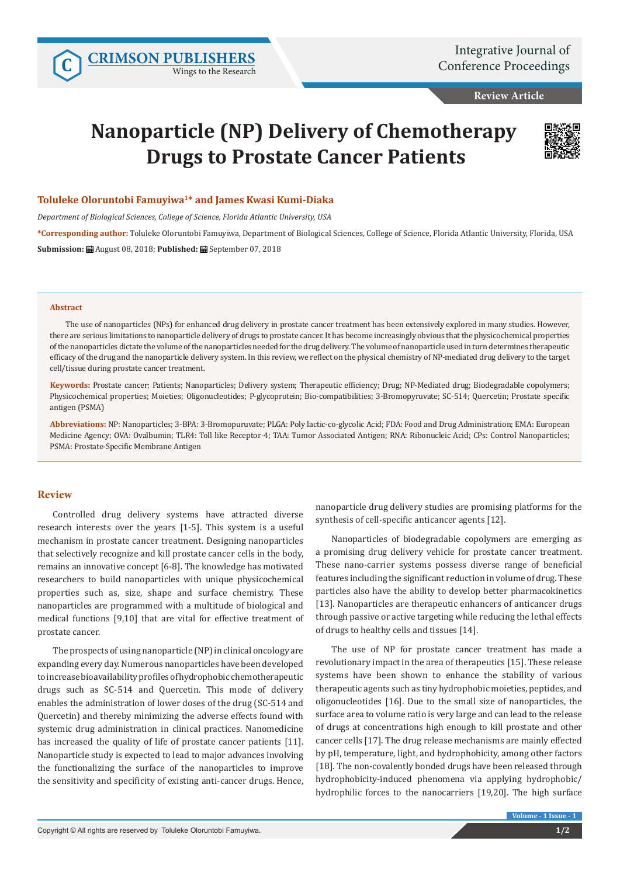Wings to the Research

**Review Article**

# **Nanoparticle (NP) Delivery of Chemotherapy Drugs to Prostate Cancer Patients**



## **Toluleke Oloruntobi Famuyiwa1\* and James Kwasi Kumi-Diaka**

*Department of Biological Sciences, College of Science, Florida Atlantic University, USA*

**\*Corresponding author:** Toluleke Oloruntobi Famuyiwa, Department of Biological Sciences, College of Science, Florida Atlantic University, Florida, USA **Submission:** August 08, 2018; **Published:** September 07, 2018

#### **Abstract**

The use of nanoparticles (NPs) for enhanced drug delivery in prostate cancer treatment has been extensively explored in many studies. However, there are serious limitations to nanoparticle delivery of drugs to prostate cancer. It has become increasingly obvious that the physicochemical properties of the nanoparticles dictate the volume of the nanoparticles needed for the drug delivery. The volume of nanoparticle used in turn determines therapeutic efficacy of the drug and the nanoparticle delivery system. In this review, we reflect on the physical chemistry of NP-mediated drug delivery to the target cell/tissue during prostate cancer treatment.

**Keywords:** Prostate cancer; Patients; Nanoparticles; Delivery system; Therapeutic efficiency; Drug; NP-Mediated drug; Biodegradable copolymers; Physicochemical properties; Moieties; Oligonucleotides; P-glycoprotein; Bio-compatibilities; 3-Bromopyruvate; SC-514; Quercetin; Prostate specific antigen (PSMA)

**Abbreviations:** NP: Nanoparticles; 3-BPA: 3-Bromopuruvate; PLGA: Poly lactic-co-glycolic Acid; FDA: Food and Drug Administration; EMA: European Medicine Agency; OVA: Ovalbumin; TLR4: Toll like Receptor-4; TAA: Tumor Associated Antigen; RNA: Ribonucleic Acid; CPs: Control Nanoparticles; PSMA: Prostate-Specific Membrane Antigen

## **Review**

Controlled drug delivery systems have attracted diverse research interests over the years [1-5]. This system is a useful mechanism in prostate cancer treatment. Designing nanoparticles that selectively recognize and kill prostate cancer cells in the body, remains an innovative concept [6-8]. The knowledge has motivated researchers to build nanoparticles with unique physicochemical properties such as, size, shape and surface chemistry. These nanoparticles are programmed with a multitude of biological and medical functions [9,10] that are vital for effective treatment of prostate cancer.

The prospects of using nanoparticle (NP) in clinical oncology are expanding every day. Numerous nanoparticles have been developed to increase bioavailability profiles of hydrophobic chemotherapeutic drugs such as SC-514 and Quercetin. This mode of delivery enables the administration of lower doses of the drug (SC-514 and Quercetin) and thereby minimizing the adverse effects found with systemic drug administration in clinical practices. Nanomedicine has increased the quality of life of prostate cancer patients [11]. Nanoparticle study is expected to lead to major advances involving the functionalizing the surface of the nanoparticles to improve the sensitivity and specificity of existing anti-cancer drugs. Hence, nanoparticle drug delivery studies are promising platforms for the synthesis of cell-specific anticancer agents [12].

Nanoparticles of biodegradable copolymers are emerging as a promising drug delivery vehicle for prostate cancer treatment. These nano-carrier systems possess diverse range of beneficial features including the significant reduction in volume of drug. These particles also have the ability to develop better pharmacokinetics [13]. Nanoparticles are therapeutic enhancers of anticancer drugs through passive or active targeting while reducing the lethal effects of drugs to healthy cells and tissues [14].

The use of NP for prostate cancer treatment has made a revolutionary impact in the area of therapeutics [15]. These release systems have been shown to enhance the stability of various therapeutic agents such as tiny hydrophobic moieties, peptides, and oligonucleotides [16]. Due to the small size of nanoparticles, the surface area to volume ratio is very large and can lead to the release of drugs at concentrations high enough to kill prostate and other cancer cells [17]. The drug release mechanisms are mainly effected by pH, temperature, light, and hydrophobicity, among other factors [18]. The non-covalently bonded drugs have been released through hydrophobicity-induced phenomena via applying hydrophobic/ hydrophilic forces to the nanocarriers [19,20]. The high surface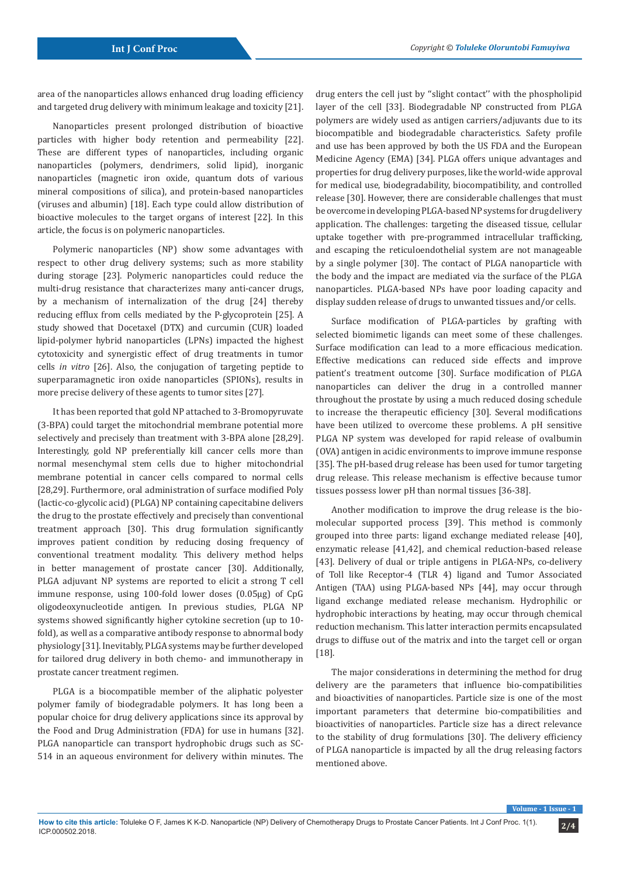area of the nanoparticles allows enhanced drug loading efficiency and targeted drug delivery with minimum leakage and toxicity [21].

Nanoparticles present prolonged distribution of bioactive particles with higher body retention and permeability [22]. These are different types of nanoparticles, including organic nanoparticles (polymers, dendrimers, solid lipid), inorganic nanoparticles (magnetic iron oxide, quantum dots of various mineral compositions of silica), and protein-based nanoparticles (viruses and albumin) [18]. Each type could allow distribution of bioactive molecules to the target organs of interest [22]. In this article, the focus is on polymeric nanoparticles.

Polymeric nanoparticles (NP) show some advantages with respect to other drug delivery systems; such as more stability during storage [23]. Polymeric nanoparticles could reduce the multi-drug resistance that characterizes many anti-cancer drugs, by a mechanism of internalization of the drug [24] thereby reducing efflux from cells mediated by the P-glycoprotein [25]. A study showed that Docetaxel (DTX) and curcumin (CUR) loaded lipid-polymer hybrid nanoparticles (LPNs) impacted the highest cytotoxicity and synergistic effect of drug treatments in tumor cells *in vitro* [26]. Also, the conjugation of targeting peptide to superparamagnetic iron oxide nanoparticles (SPIONs), results in more precise delivery of these agents to tumor sites [27].

It has been reported that gold NP attached to 3-Bromopyruvate (3-BPA) could target the mitochondrial membrane potential more selectively and precisely than treatment with 3-BPA alone [28,29]. Interestingly, gold NP preferentially kill cancer cells more than normal mesenchymal stem cells due to higher mitochondrial membrane potential in cancer cells compared to normal cells [28,29]. Furthermore, oral administration of surface modified Poly (lactic-co-glycolic acid) (PLGA) NP containing capecitabine delivers the drug to the prostate effectively and precisely than conventional treatment approach [30]. This drug formulation significantly improves patient condition by reducing dosing frequency of conventional treatment modality. This delivery method helps in better management of prostate cancer [30]. Additionally, PLGA adjuvant NP systems are reported to elicit a strong T cell immune response, using 100-fold lower doses (0.05µg) of CpG oligodeoxynucleotide antigen. In previous studies, PLGA NP systems showed significantly higher cytokine secretion (up to 10 fold), as well as a comparative antibody response to abnormal body physiology [31]. Inevitably, PLGA systems may be further developed for tailored drug delivery in both chemo- and immunotherapy in prostate cancer treatment regimen.

PLGA is a biocompatible member of the aliphatic polyester polymer family of biodegradable polymers. It has long been a popular choice for drug delivery applications since its approval by the Food and Drug Administration (FDA) for use in humans [32]. PLGA nanoparticle can transport hydrophobic drugs such as SC-514 in an aqueous environment for delivery within minutes. The drug enters the cell just by ''slight contact'' with the phospholipid layer of the cell [33]. Biodegradable NP constructed from PLGA polymers are widely used as antigen carriers/adjuvants due to its biocompatible and biodegradable characteristics. Safety profile and use has been approved by both the US FDA and the European Medicine Agency (EMA) [34]. PLGA offers unique advantages and properties for drug delivery purposes, like the world-wide approval for medical use, biodegradability, biocompatibility, and controlled release [30]. However, there are considerable challenges that must be overcome in developing PLGA-based NP systems for drug delivery application. The challenges: targeting the diseased tissue, cellular uptake together with pre-programmed intracellular trafficking, and escaping the reticuloendothelial system are not manageable by a single polymer [30]. The contact of PLGA nanoparticle with the body and the impact are mediated via the surface of the PLGA nanoparticles. PLGA-based NPs have poor loading capacity and display sudden release of drugs to unwanted tissues and/or cells.

Surface modification of PLGA-particles by grafting with selected biomimetic ligands can meet some of these challenges. Surface modification can lead to a more efficacious medication. Effective medications can reduced side effects and improve patient's treatment outcome [30]. Surface modification of PLGA nanoparticles can deliver the drug in a controlled manner throughout the prostate by using a much reduced dosing schedule to increase the therapeutic efficiency [30]. Several modifications have been utilized to overcome these problems. A pH sensitive PLGA NP system was developed for rapid release of ovalbumin (OVA) antigen in acidic environments to improve immune response [35]. The pH-based drug release has been used for tumor targeting drug release. This release mechanism is effective because tumor tissues possess lower pH than normal tissues [36-38].

Another modification to improve the drug release is the biomolecular supported process [39]. This method is commonly grouped into three parts: ligand exchange mediated release [40], enzymatic release [41,42], and chemical reduction-based release [43]. Delivery of dual or triple antigens in PLGA-NPs, co-delivery of Toll like Receptor-4 (TLR 4) ligand and Tumor Associated Antigen (TAA) using PLGA-based NPs [44], may occur through ligand exchange mediated release mechanism. Hydrophilic or hydrophobic interactions by heating, may occur through chemical reduction mechanism. This latter interaction permits encapsulated drugs to diffuse out of the matrix and into the target cell or organ [18].

The major considerations in determining the method for drug delivery are the parameters that influence bio-compatibilities and bioactivities of nanoparticles. Particle size is one of the most important parameters that determine bio-compatibilities and bioactivities of nanoparticles. Particle size has a direct relevance to the stability of drug formulations [30]. The delivery efficiency of PLGA nanoparticle is impacted by all the drug releasing factors mentioned above.

**Volume - 1 Issue - 1**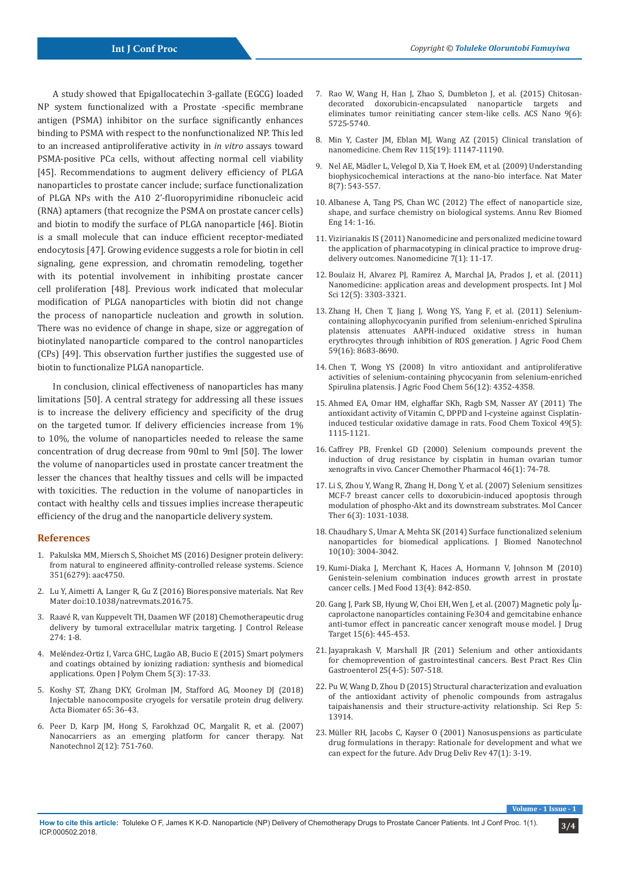A study showed that Epigallocatechin 3-gallate (EGCG) loaded NP system functionalized with a Prostate -specific membrane antigen (PSMA) inhibitor on the surface significantly enhances binding to PSMA with respect to the nonfunctionalized NP. This led to an increased antiproliferative activity in *in vitro* assays toward PSMA-positive PCa cells, without affecting normal cell viability [45]. Recommendations to augment delivery efficiency of PLGA nanoparticles to prostate cancer include; surface functionalization of PLGA NPs with the A10 2'-fluoropyrimidine ribonucleic acid (RNA) aptamers (that recognize the PSMA on prostate cancer cells) and biotin to modify the surface of PLGA nanoparticle [46]. Biotin is a small molecule that can induce efficient receptor-mediated endocytosis [47]. Growing evidence suggests a role for biotin in cell signaling, gene expression, and chromatin remodeling, together with its potential involvement in inhibiting prostate cancer cell proliferation [48]. Previous work indicated that molecular modification of PLGA nanoparticles with biotin did not change the process of nanoparticle nucleation and growth in solution. There was no evidence of change in shape, size or aggregation of biotinylated nanoparticle compared to the control nanoparticles (CPs) [49]. This observation further justifies the suggested use of biotin to functionalize PLGA nanoparticle.

In conclusion, clinical effectiveness of nanoparticles has many limitations [50]. A central strategy for addressing all these issues is to increase the delivery efficiency and specificity of the drug on the targeted tumor. If delivery efficiencies increase from 1% to 10%, the volume of nanoparticles needed to release the same concentration of drug decrease from 90ml to 9ml [50]. The lower the volume of nanoparticles used in prostate cancer treatment the lesser the chances that healthy tissues and cells will be impacted with toxicities. The reduction in the volume of nanoparticles in contact with healthy cells and tissues implies increase therapeutic efficiency of the drug and the nanoparticle delivery system.

## **References**

- 1. [Pakulska MM, Miersch S, Shoichet MS \(2016\) Designer protein delivery:](https://www.ncbi.nlm.nih.gov/pubmed/26989257)  [from natural to engineered affinity-controlled release systems. Science](https://www.ncbi.nlm.nih.gov/pubmed/26989257)  [351\(6279\): aac4750.](https://www.ncbi.nlm.nih.gov/pubmed/26989257)
- 2. [Lu Y, Aimetti A, Langer R, Gu Z \(2016\) Bioresponsive materials. Nat Rev](https://www.nature.com/articles/natrevmats201675)  [Mater doi:10.1038/natrevmats.2016.75.](https://www.nature.com/articles/natrevmats201675)
- 3. [Raavé R, van Kuppevelt TH, Daamen WF \(2018\) Chemotherapeutic drug](https://www.ncbi.nlm.nih.gov/pubmed/29382546)  [delivery by tumoral extracellular matrix targeting. J Control Release](https://www.ncbi.nlm.nih.gov/pubmed/29382546)  [274: 1-8.](https://www.ncbi.nlm.nih.gov/pubmed/29382546)
- 4. [Meléndez-Ortiz I, Varca GHC, Lugão AB, Bucio E \(2015\) Smart polymers](https://www.scirp.org/journal/PaperInformation.aspx?PaperID=58635)  [and coatings obtained by ionizing radiation: synthesis and biomedical](https://www.scirp.org/journal/PaperInformation.aspx?PaperID=58635)  [applications. Open J Polym Chem 5\(3\): 17-33.](https://www.scirp.org/journal/PaperInformation.aspx?PaperID=58635)
- 5. [Koshy ST, Zhang DKY, Grolman JM, Stafford AG, Mooney DJ \(2018\)](https://www.ncbi.nlm.nih.gov/pubmed/29128539)  [Injectable nanocomposite cryogels for versatile protein drug delivery.](https://www.ncbi.nlm.nih.gov/pubmed/29128539)  [Acta Biomater 65: 36-43.](https://www.ncbi.nlm.nih.gov/pubmed/29128539)
- 6. [Peer D, Karp JM, Hong S, Farokhzad OC, Margalit R, et al. \(2007\)](https://www.ncbi.nlm.nih.gov/pubmed/18654426)  [Nanocarriers as an emerging platform for cancer therapy. Nat](https://www.ncbi.nlm.nih.gov/pubmed/18654426)  [Nanotechnol 2\(12\): 751-760.](https://www.ncbi.nlm.nih.gov/pubmed/18654426)
- 7. [Rao W, Wang H, Han J, Zhao S, Dumbleton J, et al. \(2015\) Chitosan](https://www.ncbi.nlm.nih.gov/pubmed/26004286)[decorated doxorubicin-encapsulated nanoparticle targets and](https://www.ncbi.nlm.nih.gov/pubmed/26004286) [eliminates tumor reinitiating cancer stem-like cells. ACS Nano 9\(6\):](https://www.ncbi.nlm.nih.gov/pubmed/26004286) [5725-5740.](https://www.ncbi.nlm.nih.gov/pubmed/26004286)
- 8. [Min Y, Caster JM, Eblan MJ, Wang AZ \(2015\) Clinical translation of](https://www.ncbi.nlm.nih.gov/pubmed/26088284) [nanomedicine. Chem Rev 115\(19\): 11147-11190.](https://www.ncbi.nlm.nih.gov/pubmed/26088284)
- 9. [Nel AE, Mädler L, Velegol D, Xia T, Hoek EM, et al. \(2009\) Understanding](https://www.ncbi.nlm.nih.gov/pubmed/19525947) [biophysicochemical interactions at the nano-bio interface. Nat Mater](https://www.ncbi.nlm.nih.gov/pubmed/19525947) [8\(7\): 543-557.](https://www.ncbi.nlm.nih.gov/pubmed/19525947)
- 10. [Albanese A, Tang PS, Chan WC \(2012\) The effect of nanoparticle size,](https://www.ncbi.nlm.nih.gov/pubmed/22524388) [shape, and surface chemistry on biological systems. Annu Rev Biomed](https://www.ncbi.nlm.nih.gov/pubmed/22524388) [Eng 14: 1-16.](https://www.ncbi.nlm.nih.gov/pubmed/22524388)
- 11. [Vizirianakis IS \(2011\) Nanomedicine and personalized medicine toward](https://www.ncbi.nlm.nih.gov/pubmed/21094279) [the application of pharmacotyping in clinical practice to improve drug](https://www.ncbi.nlm.nih.gov/pubmed/21094279)[delivery outcomes. Nanomedicine 7\(1\): 11-17.](https://www.ncbi.nlm.nih.gov/pubmed/21094279)
- 12. [Boulaiz H, Alvarez PJ, Ramirez A, Marchal JA, Prados J, et al. \(2011\)](https://www.ncbi.nlm.nih.gov/pubmed/21686186/) [Nanomedicine: application areas and development prospects. Int J Mol](https://www.ncbi.nlm.nih.gov/pubmed/21686186/) [Sci 12\(5\): 3303-3321.](https://www.ncbi.nlm.nih.gov/pubmed/21686186/)
- 13. [Zhang H, Chen T, Jiang J, Wong YS, Yang F, et al. \(2011\) Selenium](https://www.ncbi.nlm.nih.gov/pubmed/21761878)[containing allophycocyanin purified from selenium-enriched Spirulina](https://www.ncbi.nlm.nih.gov/pubmed/21761878) [platensis attenuates AAPH-induced oxidative stress in human](https://www.ncbi.nlm.nih.gov/pubmed/21761878) [erythrocytes through inhibition of ROS generation. J Agric Food Chem](https://www.ncbi.nlm.nih.gov/pubmed/21761878) [59\(16\): 8683-8690.](https://www.ncbi.nlm.nih.gov/pubmed/21761878)
- 14. [Chen T, Wong YS \(2008\) In vitro antioxidant and antiproliferative](https://www.ncbi.nlm.nih.gov/pubmed/18522403) [activities of selenium-containing phycocyanin from selenium-enriched](https://www.ncbi.nlm.nih.gov/pubmed/18522403) [Spirulina platensis. J Agric Food Chem 56\(12\): 4352-4358.](https://www.ncbi.nlm.nih.gov/pubmed/18522403)
- 15. [Ahmed EA, Omar HM, elghaffar SKh, Ragb SM, Nasser AY \(2011\) The](https://www.ncbi.nlm.nih.gov/pubmed/21310208) [antioxidant activity of Vitamin C, DPPD and l-cysteine against Cisplatin](https://www.ncbi.nlm.nih.gov/pubmed/21310208)[induced testicular oxidative damage in rats. Food Chem Toxicol 49\(5\):](https://www.ncbi.nlm.nih.gov/pubmed/21310208) [1115-1121.](https://www.ncbi.nlm.nih.gov/pubmed/21310208)
- 16. [Caffrey PB, Frenkel GD \(2000\) Selenium compounds prevent the](https://www.ncbi.nlm.nih.gov/pubmed/10912582) [induction of drug resistance by cisplatin in human ovarian tumor](https://www.ncbi.nlm.nih.gov/pubmed/10912582) [xenografts in vivo. Cancer Chemother Pharmacol 46\(1\): 74-78.](https://www.ncbi.nlm.nih.gov/pubmed/10912582)
- 17. [Li S, Zhou Y, Wang R, Zhang H, Dong Y, et al. \(2007\) Selenium sensitizes](https://www.ncbi.nlm.nih.gov/pubmed/17339365) [MCF-7 breast cancer cells to doxorubicin-induced apoptosis through](https://www.ncbi.nlm.nih.gov/pubmed/17339365) [modulation of phospho-Akt and its downstream substrates. Mol Cancer](https://www.ncbi.nlm.nih.gov/pubmed/17339365) [Ther 6\(3\): 1031-1038.](https://www.ncbi.nlm.nih.gov/pubmed/17339365)
- 18. [Chaudhary S, Umar A, Mehta SK \(2014\) Surface functionalized selenium](https://www.ncbi.nlm.nih.gov/pubmed/25992427) [nanoparticles for biomedical applications. J Biomed Nanotechnol](https://www.ncbi.nlm.nih.gov/pubmed/25992427) [10\(10\): 3004-3042.](https://www.ncbi.nlm.nih.gov/pubmed/25992427)
- 19. [Kumi-Diaka J, Merchant K, Haces A, Hormann V, Johnson M \(2010\)](https://www.ncbi.nlm.nih.gov/pubmed/20553187) [Genistein-selenium combination induces growth arrest in prostate](https://www.ncbi.nlm.nih.gov/pubmed/20553187) [cancer cells. J Med Food 13\(4\): 842-850.](https://www.ncbi.nlm.nih.gov/pubmed/20553187)
- 20. Gang J, Park SB, Hyung W, Choi EH, Wen J, et al. (2007) Magnetic poly Îμ[caprolactone nanoparticles containing Fe3O4 and gemcitabine enhance](https://www.ncbi.nlm.nih.gov/pubmed/17613663) [anti-tumor effect in pancreatic cancer xenograft mouse model. J Drug](https://www.ncbi.nlm.nih.gov/pubmed/17613663) [Target 15\(6\): 445-453.](https://www.ncbi.nlm.nih.gov/pubmed/17613663)
- 21. [Jayaprakash V, Marshall JR \(201\) Selenium and other antioxidants](https://www.ncbi.nlm.nih.gov/pubmed/22122767) [for chemoprevention of gastrointestinal cancers. Best Pract Res Clin](https://www.ncbi.nlm.nih.gov/pubmed/22122767) [Gastroenterol 25\(4-5\): 507-518.](https://www.ncbi.nlm.nih.gov/pubmed/22122767)
- 22. [Pu W, Wang D, Zhou D \(2015\) Structural characterization and evaluation](https://www.ncbi.nlm.nih.gov/pubmed/26350974) [of the antioxidant activity of phenolic compounds from astragalus](https://www.ncbi.nlm.nih.gov/pubmed/26350974) [taipaishanensis and their structure-activity relationship. Sci Rep 5:](https://www.ncbi.nlm.nih.gov/pubmed/26350974) [13914.](https://www.ncbi.nlm.nih.gov/pubmed/26350974)
- 23. [Müller RH, Jacobs C, Kayser O \(2001\) Nanosuspensions as particulate](https://www.ncbi.nlm.nih.gov/pubmed/11251242) [drug formulations in therapy: Rationale for development and what we](https://www.ncbi.nlm.nih.gov/pubmed/11251242) [can expect for the future. Adv Drug Deliv Rev 47\(1\): 3-19.](https://www.ncbi.nlm.nih.gov/pubmed/11251242)

 $Volume$